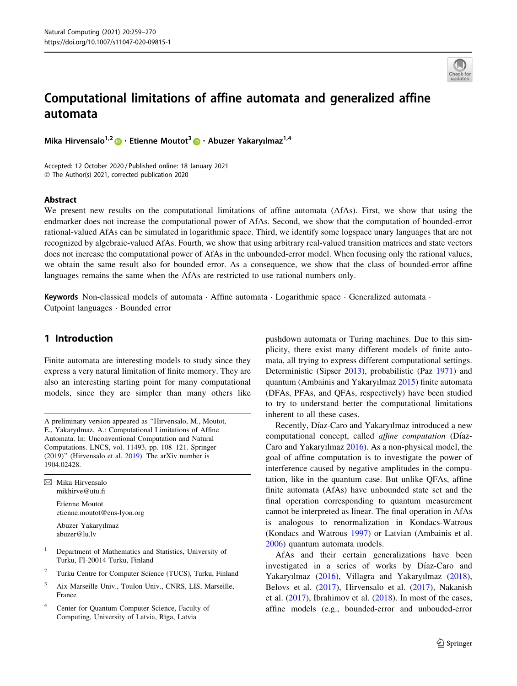

# Computational limitations of affine automata and generalized affine automata

Mika Hirvensalo<sup>1,[2](http://orcid.org/0000-0002-7014-0258)</sup> • Etienne Moutot<sup>3</sup> • Abuzer Yakaryılmaz<sup>1,4</sup>

Accepted: 12 October 2020 / Published online: 18 January 2021 © The Author(s) 2021, corrected publication 2020

#### Abstract

We present new results on the computational limitations of affine automata (AfAs). First, we show that using the endmarker does not increase the computational power of AfAs. Second, we show that the computation of bounded-error rational-valued AfAs can be simulated in logarithmic space. Third, we identify some logspace unary languages that are not recognized by algebraic-valued AfAs. Fourth, we show that using arbitrary real-valued transition matrices and state vectors does not increase the computational power of AfAs in the unbounded-error model. When focusing only the rational values, we obtain the same result also for bounded error. As a consequence, we show that the class of bounded-error affine languages remains the same when the AfAs are restricted to use rational numbers only.

Keywords Non-classical models of automata · Affine automata · Logarithmic space · Generalized automata · Cutpoint languages - Bounded error

## 1 Introduction

Finite automata are interesting models to study since they express a very natural limitation of finite memory. They are also an interesting starting point for many computational models, since they are simpler than many others like

A preliminary version appeared as ''Hirvensalo, M., Moutot, E., Yakaryılmaz, A.: Computational Limitations of Affine Automata. In: Unconventional Computation and Natural Computations. LNCS, vol. 11493, pp. 108–121. Springer (2019)'' (Hirvensalo et al. [2019](#page-10-0)). The arXiv number is 1904.02428.

 $\boxtimes$  Mika Hirvensalo mikhirve@utu.fi

> Etienne Moutot etienne.moutot@ens-lyon.org

Abuzer Yakaryılmaz abuzer@lu.lv

- <sup>1</sup> Department of Mathematics and Statistics, University of Turku, FI-20014 Turku, Finland
- <sup>2</sup> Turku Centre for Computer Science (TUCS), Turku, Finland
- <sup>3</sup> Aix-Marseille Univ., Toulon Univ., CNRS, LIS, Marseille, France
- <sup>4</sup> Center for Quantum Computer Science, Faculty of Computing, University of Latvia, Rīga, Latvia

pushdown automata or Turing machines. Due to this simplicity, there exist many different models of finite automata, all trying to express different computational settings. Deterministic (Sipser [2013\)](#page-10-0), probabilistic (Paz [1971](#page-10-0)) and quantum (Ambainis and Yakaryılmaz [2015\)](#page-10-0) finite automata (DFAs, PFAs, and QFAs, respectively) have been studied to try to understand better the computational limitations inherent to all these cases.

Recently, Díaz-Caro and Yakaryılmaz introduced a new computational concept, called *affine computation* (Díaz-Caro and Yakaryılmaz [2016](#page-10-0)). As a non-physical model, the goal of affine computation is to investigate the power of interference caused by negative amplitudes in the computation, like in the quantum case. But unlike QFAs, affine finite automata (AfAs) have unbounded state set and the final operation corresponding to quantum measurement cannot be interpreted as linear. The final operation in AfAs is analogous to renormalization in Kondacs-Watrous (Kondacs and Watrous [1997](#page-10-0)) or Latvian (Ambainis et al. [2006](#page-10-0)) quantum automata models.

AfAs and their certain generalizations have been investigated in a series of works by Díaz-Caro and Yakaryılmaz [\(2016\)](#page-10-0), Villagra and Yakaryılmaz [\(2018](#page-10-0)), Belovs et al. [\(2017](#page-10-0)), Hirvensalo et al. ([2017\)](#page-10-0), Nakanish et al. ([2017\)](#page-10-0), Ibrahimov et al. [\(2018](#page-10-0)). In most of the cases, affine models (e.g., bounded-error and unbouded-error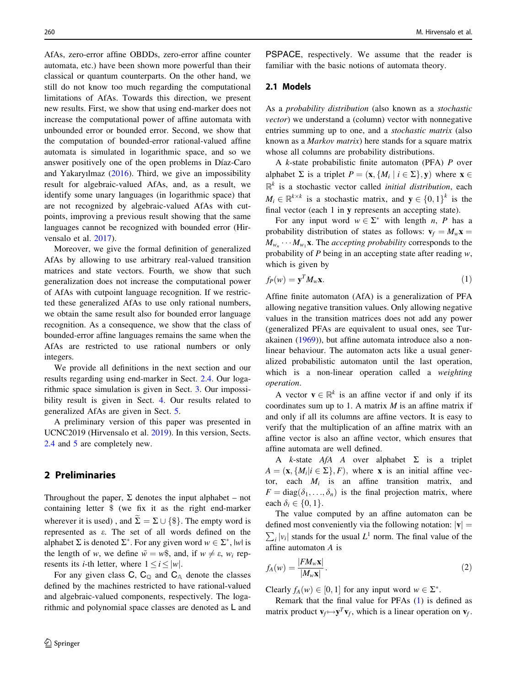<span id="page-1-0"></span>AfAs, zero-error affine OBDDs, zero-error affine counter automata, etc.) have been shown more powerful than their classical or quantum counterparts. On the other hand, we still do not know too much regarding the computational limitations of AfAs. Towards this direction, we present new results. First, we show that using end-marker does not increase the computational power of affine automata with unbounded error or bounded error. Second, we show that the computation of bounded-error rational-valued affine automata is simulated in logarithmic space, and so we answer positively one of the open problems in Díaz-Caro and Yakaryılmaz [\(2016](#page-10-0)). Third, we give an impossibility result for algebraic-valued AfAs, and, as a result, we identify some unary languages (in logarithmic space) that are not recognized by algebraic-valued AfAs with cutpoints, improving a previous result showing that the same languages cannot be recognized with bounded error (Hirvensalo et al. [2017\)](#page-10-0).

Moreover, we give the formal definition of generalized AfAs by allowing to use arbitrary real-valued transition matrices and state vectors. Fourth, we show that such generalization does not increase the computational power of AfAs with cutpoint language recognition. If we restricted these generalized AfAs to use only rational numbers, we obtain the same result also for bounded error language recognition. As a consequence, we show that the class of bounded-error affine languages remains the same when the AfAs are restricted to use rational numbers or only integers.

We provide all definitions in the next section and our results regarding using end-marker in Sect. [2.4.](#page-2-0) Our logarithmic space simulation is given in Sect. [3.](#page-3-0) Our impossibility result is given in Sect. [4](#page-6-0). Our results related to generalized AfAs are given in Sect. [5.](#page-8-0)

A preliminary version of this paper was presented in UCNC2019 (Hirvensalo et al. [2019](#page-10-0)). In this version, Sects. [2.4](#page-2-0) and [5](#page-8-0) are completely new.

## 2 Preliminaries

Throughout the paper,  $\Sigma$  denotes the input alphabet – not containing letter \$ (we fix it as the right end-marker wherever it is used), and  $\widetilde{\Sigma} = \Sigma \cup \{\$\}.$  The empty word is represented as e. The set of all words defined on the alphabet  $\Sigma$  is denoted  $\Sigma^*$ . For any given word  $w \in \Sigma^*$ , lwl is the length of w, we define  $\tilde{w} = w\$  and, if  $w \neq \varepsilon$ ,  $w_i$  represents its *i*-th letter, where  $1 \le i \le |w|$ .

For any given class C,  $C_{\mathbb{Q}}$  and  $C_{\mathbb{A}}$  denote the classes defined by the machines restricted to have rational-valued and algebraic-valued components, respectively. The logarithmic and polynomial space classes are denoted as L and

PSPACE, respectively. We assume that the reader is familiar with the basic notions of automata theory.

#### 2.1 Models

As a probability distribution (also known as a stochastic vector) we understand a (column) vector with nonnegative entries summing up to one, and a stochastic matrix (also known as a Markov matrix) here stands for a square matrix whose all columns are probability distributions.

A k-state probabilistic finite automaton (PFA) P over alphabet  $\Sigma$  is a triplet  $P = (\mathbf{x}, \{M_i \mid i \in \Sigma\}, \mathbf{y})$  where  $\mathbf{x} \in \Sigma$  $\mathbb{R}^k$  is a stochastic vector called *initial distribution*, each  $M_i \in \mathbb{R}^{k \times k}$  is a stochastic matrix, and  $y \in \{0, 1\}^k$  is the final vector (each 1 in y represents an accepting state).

For any input word  $w \in \Sigma^*$  with length n, P has a probability distribution of states as follows:  $\mathbf{v}_f = M_w \mathbf{x} =$  $M_{w_n} \cdots M_{w_1}$ **x**. The *accepting probability* corresponds to the probability of  $P$  being in an accepting state after reading  $w$ , which is given by

$$
f_P(w) = \mathbf{y}^T M_w \mathbf{x}.\tag{1}
$$

Affine finite automaton (AfA) is a generalization of PFA allowing negative transition values. Only allowing negative values in the transition matrices does not add any power (generalized PFAs are equivalent to usual ones, see Turakainen ([1969\)](#page-10-0)), but affine automata introduce also a nonlinear behaviour. The automaton acts like a usual generalized probabilistic automaton until the last operation, which is a non-linear operation called a weighting operation.

A vector  $\mathbf{v} \in \mathbb{R}^k$  is an affine vector if and only if its coordinates sum up to 1. A matrix  $M$  is an affine matrix if and only if all its columns are affine vectors. It is easy to verify that the multiplication of an affine matrix with an affine vector is also an affine vector, which ensures that affine automata are well defined.

A k-state  $A f A$  A over alphabet  $\Sigma$  is a triplet  $A = (\mathbf{x}, \{M_i | i \in \Sigma\}, F)$ , where **x** is an initial affine vector, each  $M_i$  is an affine transition matrix, and  $F = \text{diag}(\delta_1, \ldots, \delta_n)$  is the final projection matrix, where each  $\delta_i \in \{0, 1\}.$ 

The value computed by an affine automaton can be defined most conveniently via the following notation:  $|v|$  =  $\sum_i |v_i|$  stands for the usual  $L^1$  norm. The final value of the affine automaton A is

$$
f_A(w) = \frac{|FM_w \mathbf{x}|}{|M_w \mathbf{x}|}. \tag{2}
$$

Clearly  $f_A(w) \in [0, 1]$  for any input word  $w \in \Sigma^*$ .

Remark that the final value for PFAs (1) is defined as matrix product  $\mathbf{v}_f \mapsto \mathbf{y}^T \mathbf{v}_f$ , which is a linear operation on  $\mathbf{v}_f$ .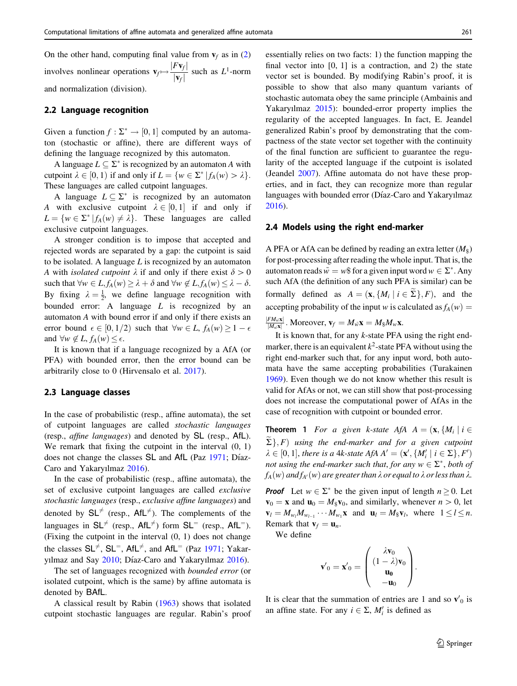<span id="page-2-0"></span>On the other hand, computing final value from  $v_f$  as in ([2\)](#page-1-0) involves nonlinear operations  $\mathbf{v}_f \mapsto \frac{|F\mathbf{v}_f|}{|\mathbf{v}_f|}$  such as  $L^1$ -norm and normalization (division).

#### 2.2 Language recognition

Given a function  $f : \Sigma^* \to [0, 1]$  computed by an automaton (stochastic or affine), there are different ways of defining the language recognized by this automaton.

A language  $L \subseteq \Sigma^*$  is recognized by an automaton A with cutpoint  $\lambda \in [0, 1)$  if and only if  $L = \{w \in \Sigma^* | f_A(w) > \lambda\}.$ These languages are called cutpoint languages.

A language  $L \subseteq \Sigma^*$  is recognized by an automaton A with exclusive cutpoint  $\lambda \in [0, 1]$  if and only if  $L = \{w \in \Sigma^* | f_A(w) \neq \lambda\}.$  These languages are called exclusive cutpoint languages.

A stronger condition is to impose that accepted and rejected words are separated by a gap: the cutpoint is said to be isolated. A language  $L$  is recognized by an automaton A with *isolated cutpoint*  $\lambda$  if and only if there exist  $\delta > 0$ such that  $\forall w \in L, f_A(w) \geq \lambda + \delta$  and  $\forall w \notin L, f_A(w) \leq \lambda - \delta$ . By fixing  $\lambda = \frac{1}{2}$ , we define language recognition with bounded error: A language  $L$  is recognized by an automaton A with bound error if and only if there exists an error bound  $\epsilon \in [0, 1/2)$  such that  $\forall w \in L$ ,  $f_A(w) \geq 1 - \epsilon$ and  $\forall w \notin L$ ,  $f_A(w) \leq \epsilon$ .

It is known that if a language recognized by a AfA (or PFA) with bounded error, then the error bound can be arbitrarily close to 0 (Hirvensalo et al. [2017\)](#page-10-0).

#### 2.3 Language classes

In the case of probabilistic (resp., affine automata), the set of cutpoint languages are called stochastic languages (resp., affine languages) and denoted by SL (resp., AfL). We remark that fixing the cutpoint in the interval  $(0, 1)$ does not change the classes SL and AfL (Paz [1971;](#page-10-0) Díaz-Caro and Yakaryılmaz [2016\)](#page-10-0).

In the case of probabilistic (resp., affine automata), the set of exclusive cutpoint languages are called exclusive stochastic languages (resp., exclusive affine languages) and denoted by  $SL^{\neq}$  (resp., AfL<sup> $\neq$ </sup>). The complements of the languages in  $SL^{\neq}$  (resp., AfL<sup> $\neq$ </sup>) form  $SL^{\neq}$  (resp., AfL<sup> $=$ </sup>). (Fixing the cutpoint in the interval (0, 1) does not change the classes  $SL^{\neq}$ ,  $SL^{\neq}$ ,  $AL^{\neq}$ , and  $AfL^{\neq}$  (Paz [1971](#page-10-0); Yakar-yılmaz and Say [2010;](#page-11-0) Díaz-Caro and Yakaryılmaz [2016](#page-10-0)).

The set of languages recognized with bounded error (or isolated cutpoint, which is the same) by affine automata is denoted by BAfL.

A classical result by Rabin ([1963\)](#page-10-0) shows that isolated cutpoint stochastic languages are regular. Rabin's proof essentially relies on two facts: 1) the function mapping the final vector into  $[0, 1]$  is a contraction, and 2) the state vector set is bounded. By modifying Rabin's proof, it is possible to show that also many quantum variants of stochastic automata obey the same principle (Ambainis and Yakaryılmaz [2015](#page-10-0)): bounded-error property implies the regularity of the accepted languages. In fact, E. Jeandel generalized Rabin's proof by demonstrating that the compactness of the state vector set together with the continuity of the final function are sufficient to guarantee the regularity of the accepted language if the cutpoint is isolated (Jeandel [2007\)](#page-10-0). Affine automata do not have these properties, and in fact, they can recognize more than regular languages with bounded error (Díaz-Caro and Yakaryılmaz [2016](#page-10-0)).

#### 2.4 Models using the right end-marker

A PFA or AfA can be defined by reading an extra letter  $(M<sub>s</sub>)$ for post-processing after reading the whole input. That is, the automaton reads  $\tilde{w} = w\$  for a given input word  $w \in \Sigma^*$ . Any such AfA (the definition of any such PFA is similar) can be formally defined as  $A = (\mathbf{x}, \{M_i \mid i \in \tilde{\Sigma}\}, F)$ , and the accepting probability of the input w is calculated as  $f_A(w)$  =

 $\frac{|FM_{\hat{w}}\mathbf{x}|}{|M_{\hat{w}}\mathbf{x}|}$  . Moreover,  $\mathbf{v}_f = M_{\hat{w}}\mathbf{x} = M_{\$}M_{w}\mathbf{x}$ .

It is known that, for any  $k$ -state PFA using the right endmarker, there is an equivalent  $k^2$ -state PFA without using the right end-marker such that, for any input word, both automata have the same accepting probabilities (Turakainen [1969](#page-10-0)). Even though we do not know whether this result is valid for AfAs or not, we can still show that post-processing does not increase the computational power of AfAs in the case of recognition with cutpoint or bounded error.

**Theorem 1** For a given k-state AfA  $A = (\mathbf{x}, \{M_i \mid i \in$  $\sum$ , F) using the end-marker and for a given cutpoint  $\lambda \in [0, 1]$ , there is a 4k-state AfA  $A' = (\mathbf{x}', \{M'_i \mid i \in \Sigma\}, F')$ not using the end-marker such that, for any  $w \in \Sigma^*$ , both of  $f_A(w)$  and  $f_{A'}(w)$  are greater than  $\lambda$  or equal to  $\lambda$  or less than  $\lambda$ .

**Proof** Let  $w \in \Sigma^*$  be the given input of length  $n \ge 0$ . Let  $\mathbf{v}_0 = \mathbf{x}$  and  $\mathbf{u}_0 = M_s \mathbf{v}_0$ , and similarly, whenever  $n > 0$ , let  $\mathbf{v}_l = M_{w_l} M_{w_{l-1}} \cdots M_{w_1} \mathbf{x}$  and  $\mathbf{u}_l = M_{\$} \mathbf{v}_l$ , where  $1 \leq l \leq n$ . Remark that  $\mathbf{v}_f = \mathbf{u}_n$ .

We define

$$
\mathbf{v}'_0 = \mathbf{x}'_0 = \begin{pmatrix} \lambda \mathbf{v}_0 \\ (1 - \lambda) \mathbf{v}_0 \\ \mathbf{u}_0 \\ -\mathbf{u}_0 \end{pmatrix}.
$$

It is clear that the summation of entries are 1 and so  $v'_0$  is an affine state. For any  $i \in \Sigma$ ,  $M_i$  is defined as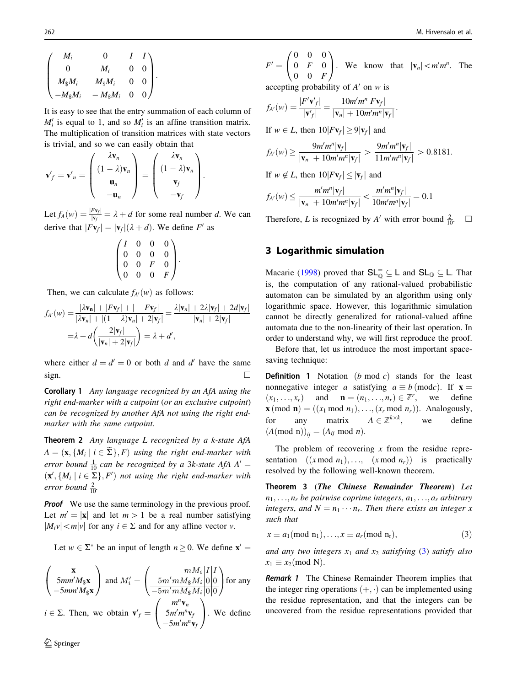<span id="page-3-0"></span>
$$
\begin{pmatrix}\nM_i & 0 & I & I \\
0 & M_i & 0 & 0 \\
M_{\frac{8}{3}}M_i & M_{\frac{8}{3}}M_i & 0 & 0 \\
-M_{\frac{8}{3}}M_i & -M_{\frac{8}{3}}M_i & 0 & 0\n\end{pmatrix}.
$$

It is easy to see that the entry summation of each column of  $M_i'$  is equal to 1, and so  $M_i'$  is an affine transition matrix. The multiplication of transition matrices with state vectors is trivial, and so we can easily obtain that

$$
\mathbf{v}'_f = \mathbf{v}'_n = \begin{pmatrix} \lambda \mathbf{v}_n \\ (1 - \lambda) \mathbf{v}_n \\ \mathbf{u}_n \\ -\mathbf{u}_n \end{pmatrix} = \begin{pmatrix} \lambda \mathbf{v}_n \\ (1 - \lambda) \mathbf{v}_n \\ \mathbf{v}_f \\ -\mathbf{v}_f \end{pmatrix}.
$$

Let  $f_A(w) = \frac{|Fv_f|}{|v_f|} = \lambda + d$  for some real number d. We can derive that  $|Fv_f| = |v_f|(\lambda + d)$ . We define F' as

$$
\begin{pmatrix} I & 0 & 0 & 0 \\ 0 & 0 & 0 & 0 \\ 0 & 0 & F & 0 \\ 0 & 0 & 0 & F \end{pmatrix}.
$$

Then, we can calculate  $f_{A}(w)$  as follows:

$$
f_{A'}(w) = \frac{|\lambda \mathbf{v}_n| + |F\mathbf{v}_f| + |-F\mathbf{v}_f|}{|\lambda \mathbf{v}_n| + |(1 - \lambda)\mathbf{v}_n| + 2|\mathbf{v}_f|} = \frac{\lambda |\mathbf{v}_n| + 2\lambda |\mathbf{v}_f| + 2d|\mathbf{v}_f|}{|\mathbf{v}_n| + 2|\mathbf{v}_f|}
$$

$$
= \lambda + d\left(\frac{2|\mathbf{v}_f|}{|\mathbf{v}_n| + 2|\mathbf{v}_f|}\right) = \lambda + d',
$$

where either  $d = d' = 0$  or both d and d' have the same  $sign.$ 

Corollary 1 Any language recognized by an AfA using the right end-marker with a cutpoint (or an exclusive cutpoint) can be recognized by another AfA not using the right endmarker with the same cutpoint.

**Theorem 2** Any language  $L$  recognized by a k-state  $A f A$  $A = (\mathbf{x}, \{M_i \mid i \in \widetilde{\Sigma}\}, F)$  using the right end-marker with error bound  $\frac{1}{10}$  can be recognized by a 3k-state AfA A' =  $(\mathbf{x}', \{M_i \mid i \in \Sigma\}, F')$  not using the right end-marker with error bound  $\frac{2}{10}$ .

**Proof** We use the same terminology in the previous proof. Let  $m' = |\mathbf{x}|$  and let  $m > 1$  be a real number satisfying  $|M_i v| < m|v|$  for any  $i \in \Sigma$  and for any affine vector v.

Let  $w \in \Sigma^*$  be an input of length  $n \geq 0$ . We define  $x' =$ 

$$
\begin{pmatrix}\n\mathbf{x} \\
5mm'M_{\$}\mathbf{x} \\
-5mm'M_{\$}\mathbf{x}\n\end{pmatrix} \text{ and } M'_{i} = \begin{pmatrix}\n\frac{mM_{i}|I|I}{1} \\
\frac{5m'mM_{\$}M_{i}|0|0}{-5m'mM_{\$}M_{i}|0|0}\n\end{pmatrix} \text{ for any}
$$
\n $i \in \Sigma$ . Then, we obtain  $\mathbf{v}'_{f} = \begin{pmatrix}\nm''\mathbf{v}_{n} \\
5m'm''\mathbf{v}_{f} \\
-5m'm''\mathbf{v}_{f}\n\end{pmatrix}$ . We define

$$
F' = \begin{pmatrix} 0 & 0 & 0 \\ 0 & F & 0 \\ 0 & 0 & F \end{pmatrix}
$$
. We know that  $|\mathbf{v}_n| < m'm^n$ . The

accepting probability of  $A'$  on w is

$$
f_{A'}(w) = \frac{|F'\mathbf{v}'_f|}{|\mathbf{v}'_f|} = \frac{10m'm^n|F\mathbf{v}_f|}{|\mathbf{v}_n| + 10m'm^n|\mathbf{v}_f|}.
$$

If  $w \in L$ , then  $10|Fv_f| \ge 9|v_f|$  and

$$
f_{A'}(w) \ge \frac{9m'm^{n}|\mathbf{v}_f|}{|\mathbf{v}_n| + 10m'm^{n}|\mathbf{v}_f|} > \frac{9m'm^{n}|\mathbf{v}_f|}{11m'm^{n}|\mathbf{v}_f|} > 0.8181.
$$

If  $w \notin L$ , then  $10|Fv_f| \le |v_f|$  and

$$
f_{A'}(w) \le \frac{m'm^n|\mathbf{v}_f|}{|\mathbf{v}_n| + 10m'm^n|\mathbf{v}_f|} < \frac{m'm^n|\mathbf{v}_f|}{10m'm^n|\mathbf{v}_f|} = 0.1
$$

Therefore, L is recognized by A' with error bound  $\frac{2}{10}$ .  $\Box$ 

## 3 Logarithmic simulation

Macarie [\(1998](#page-10-0)) proved that  $SL_{{\mathbb{Q}}}^{\pm} \subseteq L$  and  $SL_{{\mathbb{Q}}} \subseteq L$ . That is, the computation of any rational-valued probabilistic automaton can be simulated by an algorithm using only logarithmic space. However, this logarithmic simulation cannot be directly generalized for rational-valued affine automata due to the non-linearity of their last operation. In order to understand why, we will first reproduce the proof.

Before that, let us introduce the most important spacesaving technique:

**Definition 1** Notation  $(b \mod c)$  stands for the least nonnegative integer a satisfying  $a \equiv b \pmod{c}$ . If **x** =  $(x_1, \ldots, x_r)$  and  $\mathbf{n} = (n_1, \ldots, n_r) \in \mathbb{Z}^r$ , we define  $\mathbf{x} \text{ (mod } \mathbf{n} = ((x_1 \text{ mod } n_1), \ldots, (x_r \text{ mod } n_r)).$  Analogously, for any matrix  $A \in \mathbb{Z}^{k \times k}$ , we define  $(A(\text{mod }n))_{ii} = (A_{ij} \text{ mod } n).$ 

The problem of recovering  $x$  from the residue representation  $((x \mod n_1), \ldots, (x \mod n_r))$  is practically resolved by the following well-known theorem.

Theorem 3 (The Chinese Remainder Theorem) Let  $n_1, \ldots, n_r$  be pairwise coprime integers,  $a_1, \ldots, a_r$  arbitrary integers, and  $N = n_1 \cdots n_r$ . Then there exists an integer x such that

$$
x \equiv a_1 \pmod{n_1}, \dots, x \equiv a_r \pmod{n_r},\tag{3}
$$

and any two integers  $x_1$  and  $x_2$  satisfying (3) satisfy also  $x_1 \equiv x_2 \pmod{N}$ .

Remark 1 The Chinese Remainder Theorem implies that the integer ring operations  $(+, \cdot)$  can be implemented using the residue representation, and that the integers can be uncovered from the residue representations provided that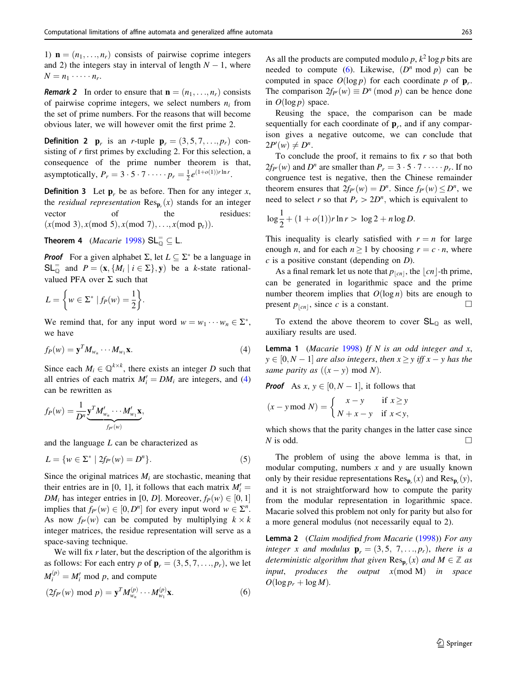<span id="page-4-0"></span>1)  $\mathbf{n} = (n_1, \ldots, n_r)$  consists of pairwise coprime integers and 2) the integers stay in interval of length  $N - 1$ , where  $N = n_1 \cdot \cdots \cdot n_r.$ 

**Remark 2** In order to ensure that  $\mathbf{n} = (n_1, \ldots, n_r)$  consists of pairwise coprime integers, we select numbers  $n_i$  from the set of prime numbers. For the reasons that will become obvious later, we will however omit the first prime 2.

**Definition 2 p**<sub>r</sub> is an *r*-tuple **p**<sub>r</sub> =  $(3,5,7,...,p<sub>r</sub>)$  consisting of  $r$  first primes by excluding 2. For this selection, a consequence of the prime number theorem is that, asymptotically,  $P_r = 3 \cdot 5 \cdot 7 \cdot \cdots \cdot p_r = \frac{1}{2} e^{(1+o(1))r \ln r}$ .

**Definition 3** Let  $\mathbf{p}_r$  be as before. Then for any integer x, the *residual representation*  $\text{Res}_{p}(x)$  stands for an integer vector of the residues:  $(x (mod 3), x (mod 5), x (mod 7), \ldots, x (mod p_r)).$ 

**Theorem 4** (*Macarie* [1998\)](#page-10-0)  $SL_{\mathbb{Q}}^{\dagger} \subseteq L$ .

**Proof** For a given alphabet  $\Sigma$ , let  $L \subseteq \Sigma^*$  be a language in  $SL_{\mathbb{Q}}^{\dagger}$  and  $P = (\mathbf{x}, \{M_i \mid i \in \Sigma\}, \mathbf{y})$  be a k-state rationalvalued PFA over  $\Sigma$  such that

$$
L = \left\{ w \in \Sigma^* \mid f_P(w) = \frac{1}{2} \right\}.
$$

We remind that, for any input word  $w = w_1 \cdots w_n \in \Sigma^*$ , we have

$$
f_P(w) = \mathbf{y}^T M_{w_n} \cdots M_{w_1} \mathbf{x}.
$$
 (4)

Since each  $M_i \in \mathbb{Q}^{k \times k}$ , there exists an integer D such that all entries of each matrix  $M'_i = DM_i$  are integers, and (4) can be rewritten as

$$
f_P(w) = \frac{1}{D^n} \underbrace{\mathbf{y}^T M'_{w_n} \cdots M'_{w_1} \mathbf{x}}_{f_{P'}(w)},
$$

and the language  $L$  can be characterized as

$$
L = \{ w \in \Sigma^* \mid 2f_{P'}(w) = D^n \}.
$$
 (5)

Since the original matrices  $M_i$  are stochastic, meaning that their entries are in [0, 1], it follows that each matrix  $M_i' =$  $DM_i$  has integer entries in [0, D]. Moreover,  $f_P(w) \in [0, 1]$ implies that  $f_{P'}(w) \in [0, D^n]$  for every input word  $w \in \Sigma^n$ . As now  $f_{P}(w)$  can be computed by multiplying  $k \times k$ integer matrices, the residue representation will serve as a space-saving technique.

We will fix  $r$  later, but the description of the algorithm is as follows: For each entry p of  $\mathbf{p}_r = (3, 5, 7, \ldots, p_r)$ , we let  $M_i^{(p)} = M_i'$  mod p, and compute

$$
(2f_{P'}(w) \text{ mod } p) = \mathbf{y}^{T} M_{w_n}^{(p)} \cdots M_{w_1}^{(p)} \mathbf{x}.
$$
 (6)

As all the products are computed modulo p,  $k^2 \log p$  bits are needed to compute (6). Likewise,  $(D^n \text{ mod } p)$  can be computed in space  $O(\log p)$  for each coordinate p of  $\mathbf{p}_r$ . The comparison  $2f_{P'}(w) \equiv D^n \pmod{p}$  can be hence done in  $O(\log p)$  space.

Reusing the space, the comparison can be made sequentially for each coordinate of  $\mathbf{p}_r$ , and if any comparison gives a negative outcome, we can conclude that  $2P'(w) \neq D^n$ .

To conclude the proof, it remains to fix  $r$  so that both  $2f_{P}(w)$  and  $D^n$  are smaller than  $P_r = 3 \cdot 5 \cdot 7 \cdot \cdots \cdot p_r$ . If no congruence test is negative, then the Chinese remainder theorem ensures that  $2f_{P}(w) = D^n$ . Since  $f_{P}(w) \le D^n$ , we need to select r so that  $P_r > 2D^n$ , which is equivalent to

$$
\log \frac{1}{2} + (1 + o(1))r \ln r > \log 2 + n \log D.
$$

This inequality is clearly satisfied with  $r = n$  for large enough *n*, and for each  $n \ge 1$  by choosing  $r = c \cdot n$ , where  $c$  is a positive constant (depending on  $D$ ).

As a final remark let us note that  $p_{|cn|}$ , the  $\lfloor cn \rfloor$ -th prime, can be generated in logarithmic space and the prime number theorem implies that  $O(\log n)$  bits are enough to present  $p_{|cn|}$ , since c is a constant.

To extend the above theorem to cover  $SL<sub>Q</sub>$  as well, auxiliary results are used.

**Lemma 1** (Macarie [1998](#page-10-0)) If N is an odd integer and x,  $y \in [0, N - 1]$  are also integers, then  $x \ge y$  iff  $x - y$  has the same parity as  $((x - y) \text{ mod } N)$ .

**Proof** As  $x, y \in [0, N - 1]$ , it follows that

$$
(x - y \bmod N) = \begin{cases} x - y & \text{if } x \ge y \\ N + x - y & \text{if } x < y, \end{cases}
$$

which shows that the parity changes in the latter case since N is odd.  $\Box$ 

The problem of using the above lemma is that, in modular computing, numbers  $x$  and  $y$  are usually known only by their residue representations  $\text{Res}_{\mathbf{p}_r}(x)$  and  $\text{Res}_{\mathbf{p}_r}(y)$ , and it is not straightforward how to compute the parity from the modular representation in logarithmic space. Macarie solved this problem not only for parity but also for a more general modulus (not necessarily equal to 2).

Lemma 2 (Claim modified from Macarie [\(1998](#page-10-0))) For any integer x and modulus  $\mathbf{p}_r = (3,5, 7, \ldots, p_r)$ , there is a deterministic algorithm that given  $\text{Res}_{\mathbf{p}_r}(x)$  and  $M \in \mathbb{Z}$  as input, produces the output  $x (mod M)$  in space  $O(\log p_r + \log M)$ .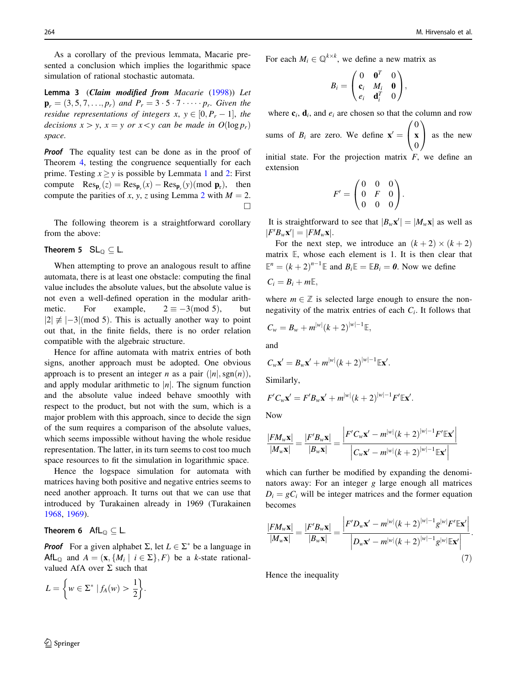<span id="page-5-0"></span>As a corollary of the previous lemmata, Macarie presented a conclusion which implies the logarithmic space simulation of rational stochastic automata.

Lemma 3 (Claim modified from Macarie ([1998\)](#page-10-0)) Let  $\mathbf{p}_r = (3, 5, 7, \ldots, p_r)$  and  $P_r = 3 \cdot 5 \cdot 7 \cdot \cdots \cdot p_r$ . Given the residue representations of integers x,  $y \in [0, P_r - 1]$ , the decisions  $x > y$ ,  $x = y$  or  $x < y$  can be made in  $O(\log p_r)$ space.

**Proof** The equality test can be done as in the proof of Theorem [4,](#page-4-0) testing the congruence sequentially for each prime. Testing  $x \ge y$  is possible by Lemmata [1](#page-4-0) and [2](#page-4-0): First compute  $\text{Res}_{\mathbf{p}_r}(z) = \text{Res}_{\mathbf{p}_r}(x) - \text{Res}_{\mathbf{p}_r}(y) \pmod{\mathbf{p}_r}$ , then compute the parities of x, y, z using Lemma [2](#page-4-0) with  $M = 2$ .  $\Box$ 

The following theorem is a straightforward corollary from the above:

#### Theorem 5  $SL_{\mathbb{Q}} \subseteq L$ .

When attempting to prove an analogous result to affine automata, there is at least one obstacle: computing the final value includes the absolute values, but the absolute value is not even a well-defined operation in the modular arithmetic. For example,  $2 \equiv -3 \pmod{5}$ , but  $|2| \not\equiv |-3| \pmod{5}$ . This is actually another way to point out that, in the finite fields, there is no order relation compatible with the algebraic structure.

Hence for affine automata with matrix entries of both signs, another approach must be adopted. One obvious approach is to present an integer *n* as a pair  $(|n|, sgn(n)),$ and apply modular arithmetic to  $|n|$ . The signum function and the absolute value indeed behave smoothly with respect to the product, but not with the sum, which is a major problem with this approach, since to decide the sign of the sum requires a comparison of the absolute values, which seems impossible without having the whole residue representation. The latter, in its turn seems to cost too much space resources to fit the simulation in logarithmic space.

Hence the logspace simulation for automata with matrices having both positive and negative entries seems to need another approach. It turns out that we can use that introduced by Turakainen already in 1969 (Turakainen [1968,](#page-10-0) [1969\)](#page-10-0).

#### Theorem 6 AfL $_{\mathbb{O}} \subseteq L$ .

**Proof** For a given alphabet  $\Sigma$ , let  $L \in \Sigma^*$  be a language in AfL<sub>Q</sub> and  $A = (\mathbf{x}, \{M_i \mid i \in \Sigma\}, F)$  be a k-state rationalvalued AfA over  $\Sigma$  such that

$$
L = \left\{ w \in \Sigma^* \mid f_A(w) > \frac{1}{2} \right\}.
$$

For each  $M_i \in \mathbb{Q}^{k \times k}$ , we define a new matrix as

$$
B_i = \begin{pmatrix} 0 & \mathbf{0}^T & 0 \\ \mathbf{c}_i & M_i & \mathbf{0} \\ e_i & \mathbf{d}_i^T & 0 \end{pmatrix},
$$

where  $c_i$ ,  $d_i$ , and  $e_i$  are chosen so that the column and row

sums of  $B_i$  are zero. We define  $\mathbf{x}' =$  $\mathbf{0}$ x  $\mathbf{0}$  $\frac{1}{\sqrt{2}}$  $\overline{1}$  $\sqrt{ }$ as the new

initial state. For the projection matrix  $F$ , we define an extension

$$
F' = \begin{pmatrix} 0 & 0 & 0 \\ 0 & F & 0 \\ 0 & 0 & 0 \end{pmatrix}.
$$

It is straightforward to see that  $|B_w \mathbf{x}'| = |M_w \mathbf{x}|$  as well as  $|F'B_w\mathbf{x}'| = |FM_w\mathbf{x}|.$ 

For the next step, we introduce an  $(k + 2) \times (k + 2)$ matrix E, whose each element is 1. It is then clear that  $\mathbb{E}^n = (k+2)^{n-1} \mathbb{E}$  and  $B_i \mathbb{E} = \mathbb{E} B_i = 0$ . Now we define  $C_i = B_i + mE,$ 

where  $m \in \mathbb{Z}$  is selected large enough to ensure the nonnegativity of the matrix entries of each  $C_i$ . It follows that

$$
C_w = B_w + m^{|w|} (k+2)^{|w|-1} \mathbb{E},
$$

and

$$
C_w\mathbf{x}'=B_w\mathbf{x}'+m^{|w|}(k+2)^{|w|-1}\mathbb{E}\mathbf{x}'.
$$

Similarly,

$$
F'C_w\mathbf{x}' = F'B_w\mathbf{x}' + m^{|w|}(k+2)^{|w|-1}F' \mathbb{E}\mathbf{x}'.
$$

Now

$$
\frac{|FM_{w}\mathbf{x}|}{|M_{w}\mathbf{x}|} = \frac{|F'B_{w}\mathbf{x}|}{|B_{w}\mathbf{x}|} = \frac{\left|F'C_{w}\mathbf{x}' - m^{|w|}(k+2)^{|w|-1}F'\mathbb{E}\mathbf{x}'\right|}{\left|C_{w}\mathbf{x}' - m^{|w|}(k+2)^{|w|-1}\mathbb{E}\mathbf{x}'\right|}
$$

which can further be modified by expanding the denominators away: For an integer g large enough all matrices  $D_i = gC_i$  will be integer matrices and the former equation becomes

$$
\frac{|FM_{w}\mathbf{x}|}{|M_{w}\mathbf{x}|} = \frac{|F'B_{w}\mathbf{x}|}{|B_{w}\mathbf{x}|} = \frac{\left|F'D_{w}\mathbf{x}' - m^{|w|}(k+2)^{|w|-1}g^{|w|}F'\mathbb{E}\mathbf{x}'\right|}{\left|D_{w}\mathbf{x}' - m^{|w|}(k+2)^{|w|-1}g^{|w|}\mathbb{E}\mathbf{x}'\right|}.
$$
\n(7)

Hence the inequality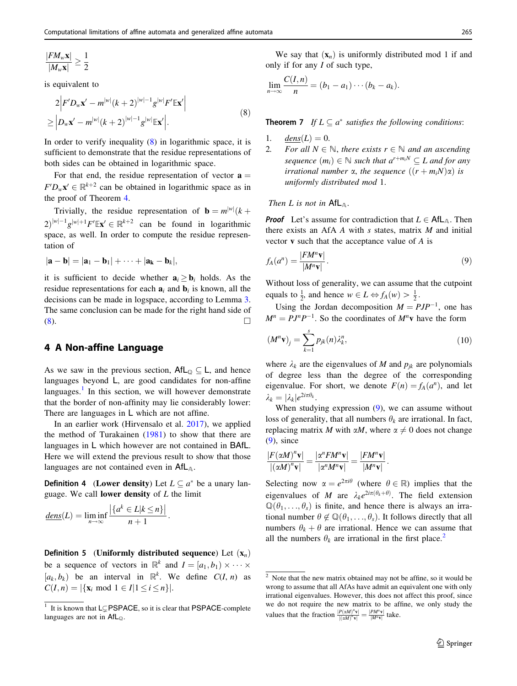<span id="page-6-0"></span>
$$
\frac{|FM_w\mathbf{x}|}{|M_w\mathbf{x}|} \ge \frac{1}{2}
$$

is equivalent to

$$
2\Big|F'D_w\mathbf{x}' - m^{|w|}(k+2)^{|w|-1}g^{|w|}F'\mathbb{E}\mathbf{x}'\Big|
$$
  
 
$$
\geq \Big|D_w\mathbf{x}' - m^{|w|}(k+2)^{|w|-1}g^{|w|}\mathbb{E}\mathbf{x}'\Big|.
$$
 (8)

In order to verify inequality  $(8)$  in logarithmic space, it is sufficient to demonstrate that the residue representations of both sides can be obtained in logarithmic space.

For that end, the residue representation of vector  $\mathbf{a} =$  $F'D_w\mathbf{x}' \in \mathbb{R}^{k+2}$  can be obtained in logarithmic space as in the proof of Theorem [4.](#page-4-0)

Trivially, the residue representation of  $\mathbf{b} = m^{|w|}(k +$  $2\int |w|^{-1} g^{|w|+1} F' \mathbb{E} \mathbf{x}' \in \mathbb{R}^{k+2}$  can be found in logarithmic space, as well. In order to compute the residue representation of

$$
|\mathbf{a}-\mathbf{b}|=|\mathbf{a}_1-\mathbf{b}_1|+\cdots+|\mathbf{a}_k-\mathbf{b}_k|,
$$

it is sufficient to decide whether  $\mathbf{a}_i \geq \mathbf{b}_i$  holds. As the residue representations for each  $a_i$  and  $b_i$  is known, all the decisions can be made in logspace, according to Lemma [3.](#page-5-0) The same conclusion can be made for the right hand side of  $(8)$ .

## 4 A Non-affine Language

As we saw in the previous section,  $\mathsf{AfL}_{\mathbb{Q}} \subseteq \mathsf{L}$ , and hence languages beyond L, are good candidates for non-affine languages. $<sup>1</sup>$  In this section, we will however demonstrate</sup> that the border of non-affinity may lie considerably lower: There are languages in L which are not affine.

In an earlier work (Hirvensalo et al. [2017](#page-10-0)), we applied the method of Turakainen  $(1981)$  $(1981)$  to show that there are languages in L which however are not contained in BAfL. Here we will extend the previous result to show that those languages are not contained even in  $\mathsf{AfL}_{\mathsf{A}}$ .

**Definition 4** (Lower density) Let  $L \subseteq a^*$  be a unary language. We call **lower density** of  $L$  the limit

$$
\underline{dens}(L) = \liminf_{n \to \infty} \frac{|\{a^k \in L | k \le n\}|}{n+1}.
$$

**Definition 5** (Uniformly distributed sequence) Let  $(\mathbf{x}_n)$ be a sequence of vectors in  $\mathbb{R}^k$  and  $I = [a_1, b_1) \times \cdots \times$  $[a_k, b_k]$  be an interval in  $\mathbb{R}^k$ . We define  $C(I, n)$  as  $C(I, n) = |\{x_i \text{ mod } 1 \in I | 1 \le i \le n\}|.$ 

We say that  $(\mathbf{x}_n)$  is uniformly distributed mod 1 if and only if for any  $I$  of such type,

$$
\lim_{n\to\infty}\frac{C(I,n)}{n}=(b_1-a_1)\cdots(b_k-a_k).
$$

**Theorem 7** If  $L \subseteq a^*$  satisfies the following conditions:

- 1.  $dens(L) = 0.$
- 2. For all  $N \in \mathbb{N}$ , there exists  $r \in \mathbb{N}$  and an ascending sequence  $(m_i) \in \mathbb{N}$  such that  $a^{r+m_iN} \subseteq L$  and for any irrational number  $\alpha$ , the sequence  $((r + m_i) \alpha)$  is uniformly distributed mod 1.

#### Then L is not in  $\mathsf{AfL}_{\mathbb{A}}$ .

**Proof** Let's assume for contradiction that  $L \in \mathsf{AfL}_{A}$ . Then there exists an AfA  $A$  with  $s$  states, matrix  $M$  and initial vector v such that the acceptance value of A is

$$
f_A(a^n) = \frac{|FM^n\mathbf{v}|}{|M^n\mathbf{v}|}.
$$
\n(9)

Without loss of generality, we can assume that the cutpoint equals to  $\frac{1}{2}$ , and hence  $w \in L \Leftrightarrow f_A(w) > \frac{1}{2}$ .

Using the Jordan decomposition  $M = PJP^{-1}$ , one has  $M^n = P J^n P^{-1}$ . So the coordinates of  $M^n$ **v** have the form

$$
(\mathbf{M}^n \mathbf{v})_j = \sum_{k=1}^s p_{jk}(n) \lambda_k^n, \tag{10}
$$

where  $\lambda_k$  are the eigenvalues of M and  $p_{jk}$  are polynomials of degree less than the degree of the corresponding eigenvalue. For short, we denote  $F(n) = f_A(a^n)$ , and let  $\lambda_k = |\lambda_k| e^{2i\pi \theta_k}$ .

When studying expression  $(9)$ , we can assume without loss of generality, that all numbers  $\theta_k$  are irrational. In fact, replacing matrix M with  $\alpha M$ , where  $\alpha \neq 0$  does not change (9), since

$$
\frac{|F(\alpha M)^n \mathbf{v}|}{|(\alpha M)^n \mathbf{v}|} = \frac{|\alpha^n F M^n \mathbf{v}|}{|\alpha^n M^n \mathbf{v}|} = \frac{|F M^n \mathbf{v}|}{|M^n \mathbf{v}|}.
$$

Selecting now  $\alpha = e^{2\pi i \theta}$  (where  $\theta \in \mathbb{R}$ ) implies that the eigenvalues of M are  $\lambda_k e^{2i\pi(\theta_k+\theta)}$ . The field extension  $\mathbb{Q}(\theta_1, \ldots, \theta_s)$  is finite, and hence there is always an irrational number  $\theta \notin \mathbb{Q}(\theta_1, \ldots, \theta_s)$ . It follows directly that all numbers  $\theta_k + \theta$  are irrational. Hence we can assume that all the numbers  $\theta_k$  are irrational in the first place.<sup>2</sup>

It is known that LCPSPACE, so it is clear that PSPACE-complete languages are not in  $\mathsf{AfL}_{\mathbb{Q}}$ .

<sup>&</sup>lt;sup>2</sup> Note that the new matrix obtained may not be affine, so it would be wrong to assume that all AfAs have admit an equivalent one with only irrational eigenvalues. However, this does not affect this proof, since we do not require the new matrix to be affine, we only study the values that the fraction  $\frac{|P(\alpha M)^n \mathbf{v}|}{|(\alpha M)^n \mathbf{v}|} = \frac{|PM^n \mathbf{v}|}{|M^n \mathbf{v}|}$  take.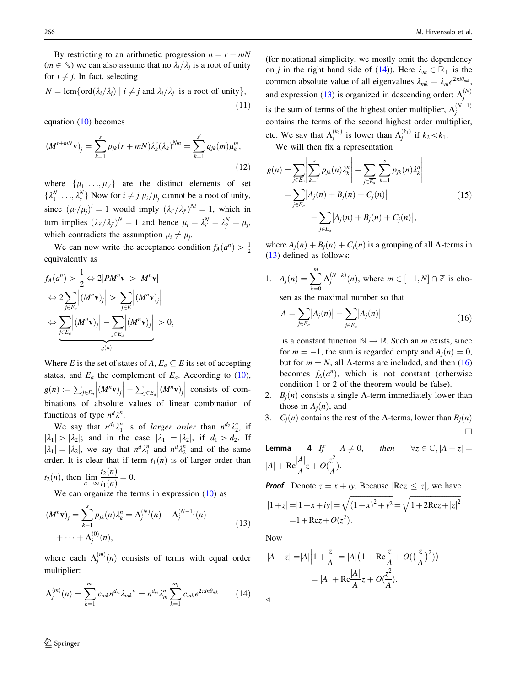<span id="page-7-0"></span>By restricting to an arithmetic progression  $n = r + mN$  $(m \in \mathbb{N})$  we can also assume that no  $\lambda_i/\lambda_j$  is a root of unity for  $i \neq j$ . In fact, selecting

$$
N = \operatorname{lcm}\{\operatorname{ord}(\lambda_i/\lambda_j) \mid i \neq j \text{ and } \lambda_i/\lambda_j \text{ is a root of unity}\},\tag{11}
$$

equation [\(10](#page-6-0)) becomes

$$
(M^{r+mN}\mathbf{v})_j = \sum_{k=1}^s p_{jk}(r+mN)\lambda_k^r(\lambda_k)^{Nm} = \sum_{k=1}^{s'} q_{jk}(m)\mu_k^m,
$$
\n(12)

where  $\{\mu_1, \ldots, \mu_{s'}\}$  are the distinct elements of set  $\{\lambda_1^N, \ldots, \lambda_s^N\}$  Now for  $i \neq j$   $\mu_i/\mu_j$  cannot be a root of unity, since  $(\mu_i/\mu_j)^t = 1$  would imply  $(\lambda_i/\lambda_j)^{Nt} = 1$ , which in turn implies  $(\lambda_{i'}/\lambda_{j'})^N = 1$  and hence  $\mu_i = \lambda_{i'}^N = \lambda_{j'}^N = \mu_j$ , which contradicts the assumption  $\mu_i \neq \mu_j$ .

We can now write the acceptance condition  $f_A(a^n) > \frac{1}{2}$ equivalently as

$$
f_A(a^n) > \frac{1}{2} \Leftrightarrow 2|PM^n \mathbf{v}| > |M^n \mathbf{v}|
$$
  

$$
\Leftrightarrow 2 \sum_{j \in E_a} |(M^n \mathbf{v})_j| > \sum_{j \in E} |(M^n \mathbf{v})_j|
$$
  

$$
\Leftrightarrow \sum_{j \in E_a} |(M^n \mathbf{v})_j| - \sum_{j \in E_a} |(M^n \mathbf{v})_j| > 0,
$$
  

$$
g(n)
$$

Where E is the set of states of A,  $E_a \subseteq E$  its set of accepting states, and  $\overline{E_a}$  the complement of  $E_a$ . According to [\(10](#page-6-0)),  $g(n) := \sum_{j \in E_a} \Big| (M^n \mathbf{v})_j$  $\begin{array}{c} \begin{array}{c} \begin{array}{c} \end{array} \\ \begin{array}{c} \end{array} \end{array} \end{array}$  $\Big|-\sum_{j\in \overline{E_a}}\Big| \overline{(M^n\mathbf{v})_j}$  $\begin{array}{c} \begin{array}{c} \begin{array}{c} \end{array} \\ \begin{array}{c} \end{array} \end{array} \end{array}$  $\cos\theta$  consists of combinations of absolute values of linear combination of functions of type  $n^d \lambda^n$ .

We say that  $n^{d_1}\lambda_1^n$  is of *larger order* than  $n^{d_2}\lambda_2^n$ , if  $|\lambda_1| > |\lambda_2|$ ; and in the case  $|\lambda_1| = |\lambda_2|$ , if  $d_1 > d_2$ . If  $|\lambda_1| = |\lambda_2|$ , we say that  $n^d \lambda_1^n$  and  $n^d \lambda_2^n$  and of the same order. It is clear that if term  $t_1(n)$  is of larger order than  $t_2(n)$ 

$$
t_2(n)
$$
, then  $\lim_{n \to \infty} \frac{t_2(n)}{t_1(n)} = 0$ .

We can organize the terms in expression  $(10)$  $(10)$  as

$$
(M^{n}\mathbf{v})_{j} = \sum_{k=1}^{s} p_{jk}(n)\lambda_{k}^{n} = \Lambda_{j}^{(N)}(n) + \Lambda_{j}^{(N-1)}(n)
$$
  
+ ... +  $\Lambda_{j}^{(0)}(n)$ , (13)

where each  $\Lambda_j^{(m)}(n)$  consists of terms with equal order multiplier:

$$
\Lambda_j^{(m)}(n) = \sum_{k=1}^{m_j} c_{mk} n^{d_m} \lambda_{mk}^{n} = n^{d_m} \lambda_m^{n} \sum_{k=1}^{m_j} c_{mk} e^{2\pi i n \theta_{mk}}
$$
(14)

 $\mathcal{D}$  Springer

(for notational simplicity, we mostly omit the dependency on *j* in the right hand side of (14)). Here  $\lambda_m \in \mathbb{R}_+$  is the common absolute value of all eigenvalues  $\lambda_{mk} = \lambda_m e^{2\pi i \theta_{mk}}$ , and expression (13) is organized in descending order:  $\Lambda_j^{(N)}$ is the sum of terms of the highest order multiplier,  $\Lambda_j^{(N-1)}$ contains the terms of the second highest order multiplier, etc. We say that  $\Lambda_j^{(k_2)}$  is lower than  $\Lambda_j^{(k_1)}$  if  $k_2 \lt k_1$ .

We will then fix a representation

$$
g(n) = \sum_{j \in E_a} \left| \sum_{k=1}^s p_{jk}(n) \lambda_k^n \right| - \sum_{j \in \overline{E_a}} \left| \sum_{k=1}^s p_{jk}(n) \lambda_k^n \right|
$$
  
= 
$$
\sum_{j \in E_a} |A_j(n) + B_j(n) + C_j(n)|
$$
  
- 
$$
\sum_{j \in \overline{E_a}} |A_j(n) + B_j(n) + C_j(n)|,
$$
 (15)

where  $A_i(n) + B_i(n) + C_i(n)$  is a grouping of all  $\Lambda$ -terms in (13) defined as follows:

1. 
$$
A_j(n) = \sum_{k=0}^{m} \Lambda_j^{(N-k)}(n)
$$
, where  $m \in [-1, N] \cap \mathbb{Z}$  is cho-

sen as the maximal number so that

$$
A = \sum_{j \in E_a} \left| A_j(n) \right| - \sum_{j \in \overline{E_a}} \left| A_j(n) \right| \tag{16}
$$

is a constant function  $\mathbb{N} \to \mathbb{R}$ . Such an *m* exists, since for  $m = -1$ , the sum is regarded empty and  $A_i(n) = 0$ . but for  $m = N$ , all  $\Lambda$ -terms are included, and then (16) becomes  $f_A(a^n)$ , which is not constant (otherwise condition 1 or 2 of the theorem would be false).

- 2.  $B_i(n)$  consists a single  $\Lambda$ -term immediately lower than those in  $A_i(n)$ , and
- 3.  $C_i(n)$  contains the rest of the A-terms, lower than  $B_i(n)$  $\Box$

**Lemma** 4 If 
$$
A \neq 0
$$
, then  $\forall z \in \mathbb{C}, |A + z| =$   
 $|A| + \text{Re} \frac{|A|}{A} z + O(\frac{z^2}{A}).$ 

**Proof** Denote  $z = x + iy$ . Because  $|\text{Re} z| \le |z|$ , we have

$$
|1+z| = |1+x+iy| = \sqrt{(1+x)^2 + y^2} = \sqrt{1+2\text{Re}z+|z|^2}
$$
  
= 1+ \text{Re}z + O(z<sup>2</sup>).

Now

 $\triangleleft$ 

$$
|A + z| = |A| \left| 1 + \frac{z}{A} \right| = |A| \left( 1 + \text{Re} \frac{z}{A} + O\left(\left(\frac{z}{A}\right)^2\right) \right)
$$

$$
= |A| + \text{Re} \frac{|A|}{A} z + O\left(\frac{z^2}{A}\right).
$$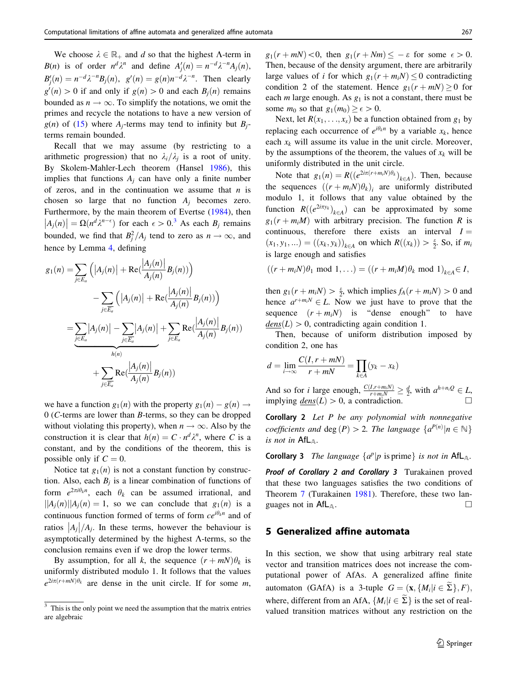<span id="page-8-0"></span>We choose  $\lambda \in \mathbb{R}_+$  and d so that the highest  $\Lambda$ -term in  $B(n)$  is of order  $n^d \lambda^n$  and define  $A'_j(n) = n^{-d} \lambda^{-n} A_j(n)$ ,  $B'_j(n) = n^{-d} \lambda^{-n} B_j(n)$ ,  $g'(n) = g(n)n^{-d} \lambda^{-n}$ . Then clearly  $g'(n) > 0$  if and only if  $g(n) > 0$  and each  $B_j(n)$  remains bounded as  $n \to \infty$ . To simplify the notations, we omit the primes and recycle the notations to have a new version of  $g(n)$  of ([15\)](#page-7-0) where  $A_i$ -terms may tend to infinity but  $B_i$ terms remain bounded.

Recall that we may assume (by restricting to a arithmetic progression) that no  $\lambda_i/\lambda_i$  is a root of unity. By Skolem-Mahler-Lech theorem (Hansel [1986\)](#page-10-0), this implies that functions  $A_i$  can have only a finite number of zeros, and in the continuation we assume that  $n$  is chosen so large that no function  $A_i$  becomes zero. Furthermore, by the main theorem of Evertse ([1984\)](#page-10-0), then Agonomiently, by the main direction of Eventure (1987), then<br>  $|A_j(n)| = \Omega(n^d \lambda^{n-\epsilon})$  for each  $\epsilon > 0$ .<sup>3</sup> As each  $B_j$  remains bounded, we find that  $B_j^2/A_j$  tend to zero as  $n \to \infty$ , and hence by Lemma [4](#page-7-0), defining

$$
g_1(n) = \sum_{j \in E_a} (|A_j(n)| + \text{Re}(\frac{|A_j(n)|}{A_j(n)} B_j(n)))
$$
  
- 
$$
\sum_{j \in E_a} (|A_j(n)| + \text{Re}(\frac{|A_j(n)|}{A_j(n)} B_j(n)))
$$
  
= 
$$
\sum_{j \in E_a} |A_j(n)| - \sum_{j \in \overline{E_a}} |A_j(n)| + \sum_{j \in E_a} \text{Re}(\frac{|A_j(n)|}{A_j(n)} B_j(n))
$$
  
+ 
$$
\sum_{j \in \overline{E_a}} \text{Re}(\frac{|A_j(n)|}{A_j(n)} B_j(n))
$$

we have a function  $g_1(n)$  with the property  $g_1(n) - g(n) \rightarrow$ 0 (C-terms are lower than B-terms, so they can be dropped without violating this property), when  $n \to \infty$ . Also by the construction it is clear that  $h(n) = C \cdot n^d \lambda^n$ , where C is a constant, and by the conditions of the theorem, this is possible only if  $C = 0$ .

Notice tat  $g_1(n)$  is not a constant function by construction. Also, each  $B_i$  is a linear combination of functions of form  $e^{2\pi i \theta_k n}$ , each  $\theta_k$  can be assumed irrational, and  $||A_i(n)||A_i(n) = 1$ , so we can conclude that  $g_1(n)$  is a continuous function formed of terms of form  $ce^{i\theta_{k}n}$  and of  $\frac{1}{|A_j|}$  and  $\frac{1}{|A_j|}$ . In these terms, however the behaviour is asymptotically determined by the highest  $\Lambda$ -terms, so the conclusion remains even if we drop the lower terms.

By assumption, for all k, the sequence  $(r + mN)\theta_k$  is uniformly distributed modulo 1. It follows that the values  $e^{2i\pi(r+mN)\theta_k}$  are dense in the unit circle. If for some m,

 $g_1(r + mN) < 0$ , then  $g_1(r + Nm) \leq -\varepsilon$  for some  $\epsilon > 0$ . Then, because of the density argument, there are arbitrarily large values of i for which  $g_1(r + m_iN) \leq 0$  contradicting condition 2 of the statement. Hence  $g_1(r + mN) \ge 0$  for each *m* large enough. As  $g_1$  is not a constant, there must be some  $m_0$  so that  $g_1(m_0) \geq \epsilon > 0$ .

Next, let  $R(x_1, \ldots, x_s)$  be a function obtained from  $g_1$  by replacing each occurrence of  $e^{i\theta_k n}$  by a variable  $x_k$ , hence each  $x_k$  will assume its value in the unit circle. Moreover, by the assumptions of the theorem, the values of  $x_k$  will be uniformly distributed in the unit circle.

Note that  $g_1(n) = R((e^{2i\pi(r+m_iN)\theta_k})_{k\in A})$ . Then, because the sequences  $((r + m_i N)\theta_k)$  are uniformly distributed modulo 1, it follows that any value obtained by the function  $R((e^{2i\pi y_k})_{k\in A})$  can be approximated by some  $g_1(r + m_iM)$  with arbitrary precision. The function R is continuous, therefore there exists an interval  $I =$  $(x_1, y_1, ...) = ((x_k, y_k))_{k \in A}$  on which  $R((x_k)) > \frac{\varepsilon}{2}$ . So, if  $m_i$ is large enough and satisfies

$$
((r+m_iN)\theta_1 \mod 1,\ldots)=((r+m_iM)\theta_k \mod 1)_{k\in A}\in I,
$$

then  $g_1(r + m_i N) > \frac{\varepsilon}{2}$ , which implies  $f_A(r + m_i N) > 0$  and hence  $a^{r+m_iN} \in L$ . Now we just have to prove that the sequence  $(r + m_i N)$  is "dense enough" to have  $dens(L) > 0$ , contradicting again condition 1.

Then, because of uniform distribution imposed by condition 2, one has

$$
d = \lim_{i \to \infty} \frac{C(I, r + mN)}{r + mN} = \prod_{k \in A} (y_k - x_k)
$$

And so for *i* large enough,  $\frac{C(I,r+m_iN)}{r+m_iN}\geq \frac{d}{2}$ , with  $a^{h+n_iQ}\in L$ , implying  $dens(L) > 0$ , a contradiction.

Corollary 2 Let P be any polynomial with nonnegative coefficients and deg (P) > 2. The language  $\{a^{P(n)}|n \in \mathbb{N}\}\$ is not in  $\mathsf{AfL}_{\mathbb{A}}$ .

**Corollary 3** The language  $\{a^p | p$  is prime is not in AfL<sub>A</sub>.

Proof of Corollary 2 and Corollary 3 Turakainen proved that these two languages satisfies the two conditions of Theorem [7](#page-6-0) (Turakainen [1981\)](#page-10-0). Therefore, these two languages not in  $\mathsf{AfL}_{\mathbb{A}}$ .

## 5 Generalized affine automata

In this section, we show that using arbitrary real state vector and transition matrices does not increase the computational power of AfAs. A generalized affine finite automaton (GAfA) is a 3-tuple  $G = (\mathbf{x}, \{M_i | i \in \tilde{\Sigma}\}, F)$ , where, different from an AfA,  $\{M_i | i \in \tilde{\Sigma}\}\$ is the set of real-This is the only point we need the assumption that the matrix entries valued transition matrices without any restriction on the

are algebraic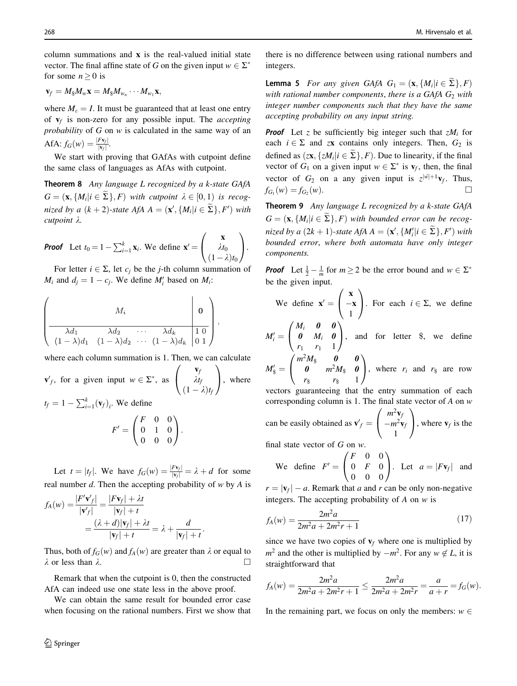<span id="page-9-0"></span>column summations and  $x$  is the real-valued initial state vector. The final affine state of G on the given input  $w \in \Sigma^*$ for some  $n \geq 0$  is

$$
\mathbf{v}_f = M_{\$} M_w \mathbf{x} = M_{\$} M_{w_n} \cdots M_{w_1} \mathbf{x},
$$

where  $M_{\epsilon} = I$ . It must be guaranteed that at least one entry of  $v_f$  is non-zero for any possible input. The *accepting* probability of G on w is calculated in the same way of an AfA:  $f_G(w) = \frac{|Fv_f|}{|v_f|}$ .

We start with proving that GAfAs with cutpoint define the same class of languages as AfAs with cutpoint.

Theorem 8 Any language L recognized by a k-state GAfA  $G = (\mathbf{x}, \{M_i | i \in \Sigma\}, F)$  with cutpoint  $\lambda \in [0, 1)$  is recognized by a  $(k+2)$ -state AfA  $A = (\mathbf{x}', \{M_i | i \in \Sigma\}, F')$  with  $\mathit{cutpoint}$   $\lambda$ .

**Proof** Let 
$$
t_0 = 1 - \sum_{i=1}^k \mathbf{x}_i
$$
. We define  $\mathbf{x}' = \begin{pmatrix} \mathbf{x} \\ \lambda t_0 \\ (1 - \lambda)t_0 \end{pmatrix}$ .

For letter  $i \in \Sigma$ , let  $c_i$  be the j-th column summation of  $M_i$  and  $d_j = 1 - c_j$ . We define  $M'_i$  based on  $M_i$ :

$$
\left(\begin{array}{c|c}\nM_i & \mathbf{0} \\
\hline\n\lambda d_1 & \lambda d_2 & \cdots & \lambda d_k \\
(1-\lambda)d_1 & (1-\lambda)d_2 & \cdots & (1-\lambda)d_k\n\end{array}\right),
$$

where each column summation is 1. Then, we can calculate

$$
\mathbf{v}'_f, \text{ for a given input } w \in \Sigma^*, \text{ as } \begin{pmatrix} \mathbf{v}_f \\ \lambda t_f \\ (1 - \lambda)t_f \end{pmatrix}, \text{ where}
$$
  

$$
t_f = 1 - \sum_{i=1}^k (\mathbf{v}_f)_i.
$$
 We define

$$
F' = \begin{pmatrix} F & 0 & 0 \\ 0 & 1 & 0 \\ 0 & 0 & 0 \end{pmatrix}.
$$

Let  $t = |t_f|$ . We have  $f_G(w) = \frac{|Fv_f|}{|v_f|} = \lambda + d$  for some real number  $d$ . Then the accepting probability of  $w$  by  $A$  is

$$
f_A(w) = \frac{|F' \mathbf{v}'_f|}{|\mathbf{v}'_f|} = \frac{|F \mathbf{v}_f| + \lambda t}{|\mathbf{v}_f| + t}
$$
  
= 
$$
\frac{(\lambda + d)|\mathbf{v}_f| + \lambda t}{|\mathbf{v}_f| + t} = \lambda + \frac{d}{|\mathbf{v}_f| + t}.
$$

Thus, both of  $f_G(w)$  and  $f_A(w)$  are greater than  $\lambda$  or equal to  $\lambda$  or less than  $\lambda$ .

Remark that when the cutpoint is 0, then the constructed AfA can indeed use one state less in the above proof.

We can obtain the same result for bounded error case when focusing on the rational numbers. First we show that

there is no difference between using rational numbers and integers.

**Lemma 5** For any given GAfA  $G_1 = (\mathbf{x}, \{M_i | i \in \Sigma\}, F)$ with rational number components, there is a GAfA  $G_2$  with integer number components such that they have the same accepting probability on any input string.

**Proof** Let z be sufficiently big integer such that  $zM_i$  for each  $i \in \Sigma$  and zx contains only integers. Then,  $G_2$  is defined as  $(z\mathbf{x}, \{zM_i | i \in \widetilde{\Sigma}\}, F)$ . Due to linearity, if the final vector of  $G_1$  on a given input  $w \in \Sigma^*$  is  $\mathbf{v}_f$ , then, the final vector of  $G_2$  on a any given input is  $z^{\vert \tilde{w} \vert + 1} \mathbf{v}_f$ . Thus,  $f_{G_1}(w) = f_{G_2}(w)$ .

Theorem 9 Any language L recognized by a k-state GAfA  $G = (\mathbf{x}, \{M_i | i \in \tilde{\Sigma}\}, F)$  with bounded error can be recognized by a  $(2k + 1)$ -state AfA  $A = (\mathbf{x}', \{M'_i | i \in \tilde{\Sigma}\}, F')$  with bounded error, where both automata have only integer components.

**Proof** Let  $\frac{1}{2} - \frac{1}{m}$  for  $m \ge 2$  be the error bound and  $w \in \Sigma^*$ be the given input.

We define 
$$
\mathbf{x}' = \begin{pmatrix} \mathbf{x} \\ -\mathbf{x} \\ 1 \end{pmatrix}
$$
. For each  $i \in \Sigma$ , we define

 $M_i' =$  $\boldsymbol{\theta}$   $M_i$   $\boldsymbol{\theta}$  $r_1 \, r_1 \, 1$  $\begin{bmatrix} 0 & M_i & 0 \end{bmatrix}$ , and for letter \$, we define  $\rightarrow$  $\sqrt{2}$ 

 $M'_\$ =$  $m^2M_{\rm s}$  0 0  $\boldsymbol{\theta}$   $m^2 M_{\$}$   $\boldsymbol{\theta}$  $r_{\$}$   $r_{\$}$  1  $\overline{1}$ , where  $r_i$  and  $r_s$  are row

vectors guaranteeing that the entry summation of each corresponding column is 1. The final state vector of  $A$  on  $w$ can be easily obtained as  $\mathbf{v}'_f =$  $m^2$ **v**<sub>f</sub>  $-m^2$ **v**<sub>j</sub> 1  $\overline{\phantom{a}}$  $\overline{1}$  $\frac{1}{\sqrt{2}}$ , where  $\mathbf{v}_f$  is the

final state vector of G on w.

We define 
$$
F' = \begin{pmatrix} F & 0 & 0 \\ 0 & F & 0 \\ 0 & 0 & 0 \end{pmatrix}
$$
. Let  $a = |F\mathbf{v}_f|$  and

 $r = |\mathbf{v}_f| - a$ . Remark that a and r can be only non-negative integers. The accepting probability of  $A$  on  $w$  is

$$
f_A(w) = \frac{2m^2a}{2m^2a + 2m^2r + 1}
$$
 (17)

since we have two copies of  $v_f$  where one is multiplied by  $m^2$  and the other is multiplied by  $-m^2$ . For any  $w \notin L$ , it is straightforward that

$$
f_A(w) = \frac{2m^2a}{2m^2a + 2m^2r + 1} \le \frac{2m^2a}{2m^2a + 2m^2r} = \frac{a}{a+r} = f_G(w).
$$

In the remaining part, we focus on only the members:  $w \in$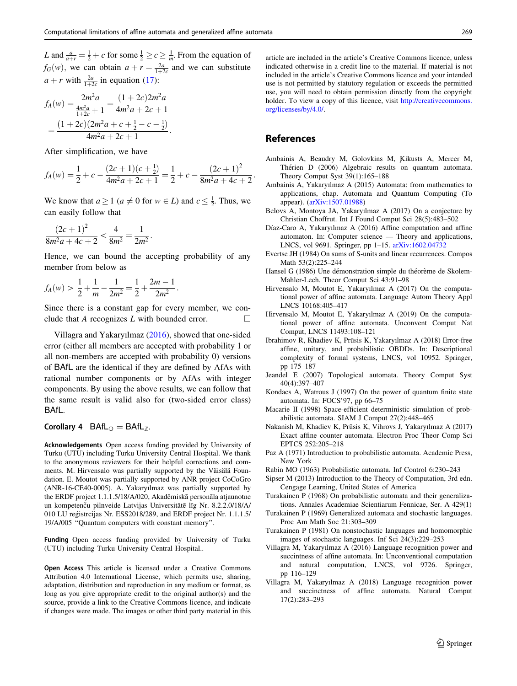<span id="page-10-0"></span>*L* and  $\frac{a}{a+r} = \frac{1}{2} + c$  for some  $\frac{1}{2} \ge c \ge \frac{1}{m}$ . From the equation of  $f_G(w)$ , we can obtain  $a + r = \frac{2a}{1+2c}$  and we can substitute  $a + r$  with  $\frac{2a}{1+2c}$  in equation ([17\)](#page-9-0):

$$
f_A(w) = \frac{2m^2a}{\frac{4m^2a}{1+2c}+1} = \frac{(1+2c)2m^2a}{4m^2a+2c+1}
$$
  
= 
$$
\frac{(1+2c)(2m^2a+c+\frac{1}{2}-c-\frac{1}{2})}{4m^2a+2c+1}.
$$

After simplification, we have

$$
f_A(w) = \frac{1}{2} + c - \frac{(2c+1)(c+\frac{1}{2})}{4m^2a + 2c + 1} = \frac{1}{2} + c - \frac{(2c+1)^2}{8m^2a + 4c + 2}
$$

We know that  $a \ge 1$  ( $a \ne 0$  for  $w \in L$ ) and  $c \le \frac{1}{2}$ . Thus, we can easily follow that

$$
\frac{\left(2c+1\right)^2}{8m^2a+4c+2} < \frac{4}{8m^2} = \frac{1}{2m^2}.
$$

Hence, we can bound the accepting probability of any member from below as

$$
f_A(w) > \frac{1}{2} + \frac{1}{m} - \frac{1}{2m^2} = \frac{1}{2} + \frac{2m - 1}{2m^2}.
$$

Since there is a constant gap for every member, we conclude that A recognizes  $L$  with bounded error.  $\Box$ 

Villagra and Yakaryılmaz (2016), showed that one-sided error (either all members are accepted with probability 1 or all non-members are accepted with probability 0) versions of BAfL are the identical if they are defined by AfAs with rational number components or by AfAs with integer components. By using the above results, we can follow that the same result is valid also for (two-sided error class) BAfL.

## Corollary 4  $BAfL_{\mathbb{Q}} = BAfL_{\mathbb{Z}}$ .

Acknowledgements Open access funding provided by University of Turku (UTU) including Turku University Central Hospital. We thank to the anonymous reviewers for their helpful corrections and comments. M. Hirvensalo was partially supported by the Väisälä Foundation. E. Moutot was partially supported by ANR project CoCoGro (ANR-16-CE40-0005). A. Yakaryılmaz was partially supported by the ERDF project 1.1.1.5/18/A/020, Akadēmiskā personāla atjaunotne un kompetenču pilnveide Latvijas Universitātē līg Nr. 8.2.2.0/18/A/ 010 LU reg´istrcijas Nr. ESS2018/289, and ERDF project Nr. 1.1.1.5/ 19/A/005 ''Quantum computers with constant memory''.

Funding Open access funding provided by University of Turku (UTU) including Turku University Central Hospital..

Open Access This article is licensed under a Creative Commons Attribution 4.0 International License, which permits use, sharing, adaptation, distribution and reproduction in any medium or format, as long as you give appropriate credit to the original author(s) and the source, provide a link to the Creative Commons licence, and indicate if changes were made. The images or other third party material in this

article are included in the article's Creative Commons licence, unless indicated otherwise in a credit line to the material. If material is not included in the article's Creative Commons licence and your intended use is not permitted by statutory regulation or exceeds the permitted use, you will need to obtain permission directly from the copyright holder. To view a copy of this licence, visit [http://creativecommons.](http://creativecommons.org/licenses/by/4.0/) [org/licenses/by/4.0/.](http://creativecommons.org/licenses/by/4.0/)

## References

:

- Ambainis A, Beaudry M, Golovkins M, Kikusts A, Mercer M, Thérien D (2006) Algebraic results on quantum automata. Theory Comput Syst 39(1):165–188
- Ambainis A, Yakaryılmaz A (2015) Automata: from mathematics to applications, chap. Automata and Quantum Computing (To appear). [\(arXiv:1507.01988](http://arxiv.org/abs/1507.01988))
- Belovs A, Montoya JA, Yakaryılmaz A (2017) On a conjecture by Christian Choffrut. Int J Found Comput Sci 28(5):483–502
- Díaz-Caro A, Yakaryılmaz A (2016) Affine computation and affine automaton. In: Computer science — Theory and applications, LNCS, vol 9691. Springer, pp 1–15. [arXiv:1602.04732](http://arxiv.org/abs/1602.04732)
- Evertse JH (1984) On sums of S-units and linear recurrences. Compos Math 53(2):225–244
- Hansel G (1986) Une démonstration simple du théorème de Skolem-Mahler-Lech. Theor Comput Sci 43:91–98
- Hirvensalo M, Moutot E, Yakaryılmaz A (2017) On the computational power of affine automata. Language Autom Theory Appl LNCS 10168:405–417
- Hirvensalo M, Moutot E, Yakaryılmaz A (2019) On the computational power of affine automata. Unconvent Comput Nat Comput, LNCS 11493:108–121
- Ibrahimov R, Khadiev K, Prūsis K, Yakaryılmaz A (2018) Error-free affine, unitary, and probabilistic OBDDs. In: Descriptional complexity of formal systems, LNCS, vol 10952. Springer, pp 175–187
- Jeandel E (2007) Topological automata. Theory Comput Syst 40(4):397–407
- Kondacs A, Watrous J (1997) On the power of quantum finite state automata. In: FOCS'97, pp 66–75
- Macarie II (1998) Space-efficient deterministic simulation of probabilistic automata. SIAM J Comput 27(2):448–465
- Nakanish M, Khadiev K, Prūsis K, Vihrovs J, Yakaryılmaz A (2017) Exact affine counter automata. Electron Proc Theor Comp Sci EPTCS 252:205–218
- Paz A (1971) Introduction to probabilistic automata. Academic Press, New York
- Rabin MO (1963) Probabilistic automata. Inf Control 6:230–243
- Sipser M (2013) Introduction to the Theory of Computation, 3rd edn. Cengage Learning, United States of America
- Turakainen P (1968) On probabilistic automata and their generalizations. Annales Academiae Scientiarum Fennicae, Ser. A 429(1)
- Turakainen P (1969) Generalized automata and stochastic languages. Proc Am Math Soc 21:303–309
- Turakainen P (1981) On nonstochastic languages and homomorphic images of stochastic languages. Inf Sci 24(3):229–253
- Villagra M, Yakaryılmaz A (2016) Language recognition power and succintness of affine automata. In: Unconventional computation and natural computation, LNCS, vol 9726. Springer, pp 116–129
- Villagra M, Yakaryılmaz A (2018) Language recognition power and succinctness of affine automata. Natural Comput 17(2):283–293